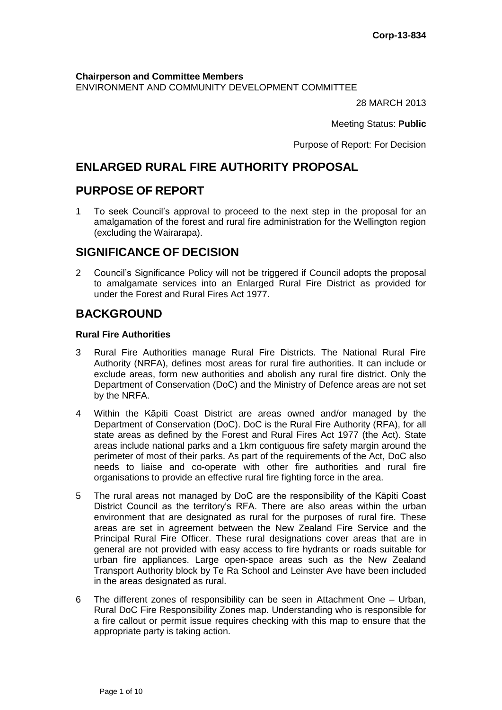**Chairperson and Committee Members** ENVIRONMENT AND COMMUNITY DEVELOPMENT COMMITTEE

28 MARCH 2013

Meeting Status: **Public**

Purpose of Report: For Decision

# **ENLARGED RURAL FIRE AUTHORITY PROPOSAL**

# **PURPOSE OF REPORT**

1 To seek Council's approval to proceed to the next step in the proposal for an amalgamation of the forest and rural fire administration for the Wellington region (excluding the Wairarapa).

# **SIGNIFICANCE OF DECISION**

2 Council's Significance Policy will not be triggered if Council adopts the proposal to amalgamate services into an Enlarged Rural Fire District as provided for under the Forest and Rural Fires Act 1977.

# **BACKGROUND**

#### **Rural Fire Authorities**

- 3 Rural Fire Authorities manage Rural Fire Districts. The National Rural Fire Authority (NRFA), defines most areas for rural fire authorities. It can include or exclude areas, form new authorities and abolish any rural fire district. Only the Department of Conservation (DoC) and the Ministry of Defence areas are not set by the NRFA.
- 4 Within the Kāpiti Coast District are areas owned and/or managed by the Department of Conservation (DoC). DoC is the Rural Fire Authority (RFA), for all state areas as defined by the Forest and Rural Fires Act 1977 (the Act). State areas include national parks and a 1km contiguous fire safety margin around the perimeter of most of their parks. As part of the requirements of the Act, DoC also needs to liaise and co-operate with other fire authorities and rural fire organisations to provide an effective rural fire fighting force in the area.
- 5 The rural areas not managed by DoC are the responsibility of the Kāpiti Coast District Council as the territory's RFA. There are also areas within the urban environment that are designated as rural for the purposes of rural fire. These areas are set in agreement between the New Zealand Fire Service and the Principal Rural Fire Officer. These rural designations cover areas that are in general are not provided with easy access to fire hydrants or roads suitable for urban fire appliances. Large open-space areas such as the New Zealand Transport Authority block by Te Ra School and Leinster Ave have been included in the areas designated as rural.
- 6 The different zones of responsibility can be seen in Attachment One Urban, Rural DoC Fire Responsibility Zones map. Understanding who is responsible for a fire callout or permit issue requires checking with this map to ensure that the appropriate party is taking action.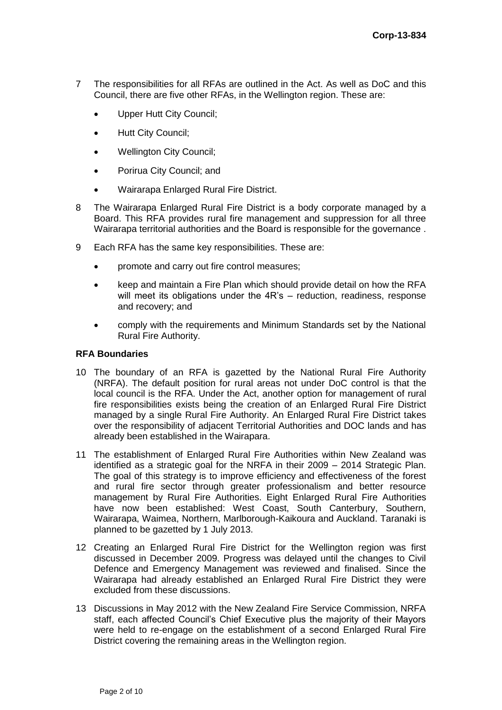- 7 The responsibilities for all RFAs are outlined in the Act. As well as DoC and this Council, there are five other RFAs, in the Wellington region. These are:
	- Upper Hutt City Council;
	- Hutt City Council;
	- Wellington City Council;
	- Porirua City Council; and
	- Wairarapa Enlarged Rural Fire District.
- 8 The Wairarapa Enlarged Rural Fire District is a body corporate managed by a Board. This RFA provides rural fire management and suppression for all three Wairarapa territorial authorities and the Board is responsible for the governance .
- 9 Each RFA has the same key responsibilities. These are:
	- promote and carry out fire control measures;
	- keep and maintain a Fire Plan which should provide detail on how the RFA will meet its obligations under the 4R's – reduction, readiness, response and recovery; and
	- comply with the requirements and Minimum Standards set by the National Rural Fire Authority.

#### **RFA Boundaries**

- 10 The boundary of an RFA is gazetted by the National Rural Fire Authority (NRFA). The default position for rural areas not under DoC control is that the local council is the RFA. Under the Act, another option for management of rural fire responsibilities exists being the creation of an Enlarged Rural Fire District managed by a single Rural Fire Authority. An Enlarged Rural Fire District takes over the responsibility of adjacent Territorial Authorities and DOC lands and has already been established in the Wairapara.
- 11 The establishment of Enlarged Rural Fire Authorities within New Zealand was identified as a strategic goal for the NRFA in their 2009 – 2014 Strategic Plan. The goal of this strategy is to improve efficiency and effectiveness of the forest and rural fire sector through greater professionalism and better resource management by Rural Fire Authorities. Eight Enlarged Rural Fire Authorities have now been established: West Coast, South Canterbury, Southern, Wairarapa, Waimea, Northern, Marlborough-Kaikoura and Auckland. Taranaki is planned to be gazetted by 1 July 2013.
- 12 Creating an Enlarged Rural Fire District for the Wellington region was first discussed in December 2009. Progress was delayed until the changes to Civil Defence and Emergency Management was reviewed and finalised. Since the Wairarapa had already established an Enlarged Rural Fire District they were excluded from these discussions.
- 13 Discussions in May 2012 with the New Zealand Fire Service Commission, NRFA staff, each affected Council's Chief Executive plus the majority of their Mayors were held to re-engage on the establishment of a second Enlarged Rural Fire District covering the remaining areas in the Wellington region.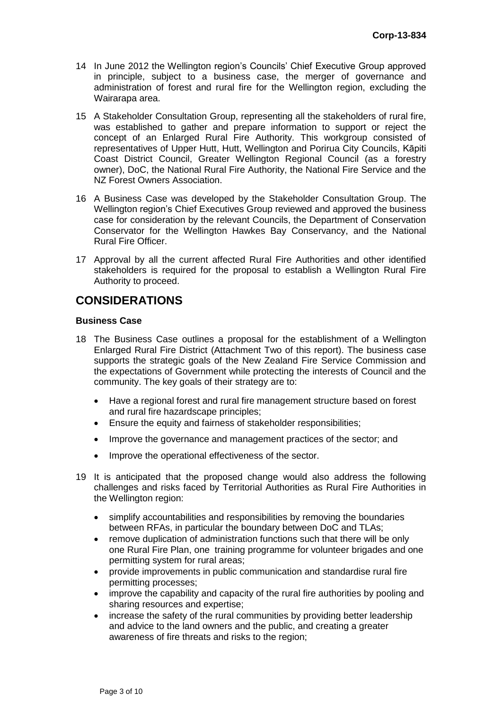- 14 In June 2012 the Wellington region's Councils' Chief Executive Group approved in principle, subject to a business case, the merger of governance and administration of forest and rural fire for the Wellington region, excluding the Wairarapa area.
- 15 A Stakeholder Consultation Group, representing all the stakeholders of rural fire, was established to gather and prepare information to support or reject the concept of an Enlarged Rural Fire Authority. This workgroup consisted of representatives of Upper Hutt, Hutt, Wellington and Porirua City Councils, Kāpiti Coast District Council, Greater Wellington Regional Council (as a forestry owner), DoC, the National Rural Fire Authority, the National Fire Service and the NZ Forest Owners Association.
- 16 A Business Case was developed by the Stakeholder Consultation Group. The Wellington region's Chief Executives Group reviewed and approved the business case for consideration by the relevant Councils, the Department of Conservation Conservator for the Wellington Hawkes Bay Conservancy, and the National Rural Fire Officer.
- 17 Approval by all the current affected Rural Fire Authorities and other identified stakeholders is required for the proposal to establish a Wellington Rural Fire Authority to proceed.

# **CONSIDERATIONS**

## **Business Case**

- 18 The Business Case outlines a proposal for the establishment of a Wellington Enlarged Rural Fire District (Attachment Two of this report). The business case supports the strategic goals of the New Zealand Fire Service Commission and the expectations of Government while protecting the interests of Council and the community. The key goals of their strategy are to:
	- Have a regional forest and rural fire management structure based on forest and rural fire hazardscape principles;
	- Ensure the equity and fairness of stakeholder responsibilities;
	- Improve the governance and management practices of the sector; and
	- Improve the operational effectiveness of the sector.
- 19 It is anticipated that the proposed change would also address the following challenges and risks faced by Territorial Authorities as Rural Fire Authorities in the Wellington region:
	- simplify accountabilities and responsibilities by removing the boundaries between RFAs, in particular the boundary between DoC and TLAs;
	- remove duplication of administration functions such that there will be only one Rural Fire Plan, one training programme for volunteer brigades and one permitting system for rural areas;
	- provide improvements in public communication and standardise rural fire permitting processes;
	- improve the capability and capacity of the rural fire authorities by pooling and sharing resources and expertise;
	- increase the safety of the rural communities by providing better leadership and advice to the land owners and the public, and creating a greater awareness of fire threats and risks to the region;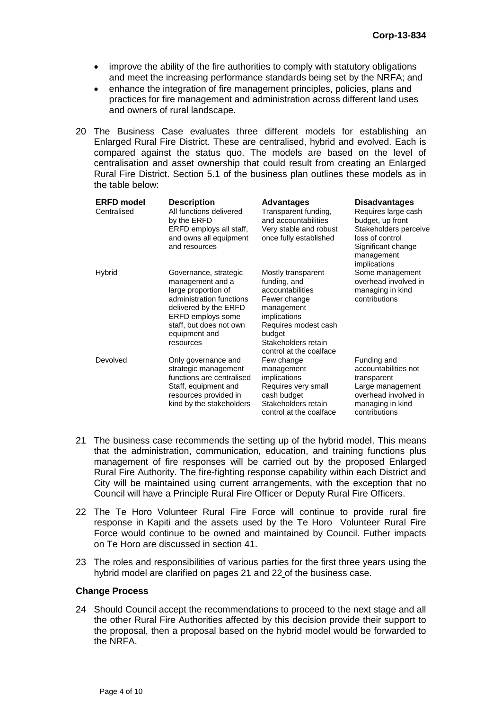- improve the ability of the fire authorities to comply with statutory obligations and meet the increasing performance standards being set by the NRFA; and
- enhance the integration of fire management principles, policies, plans and practices for fire management and administration across different land uses and owners of rural landscape.
- 20 The Business Case evaluates three different models for establishing an Enlarged Rural Fire District. These are centralised, hybrid and evolved. Each is compared against the status quo. The models are based on the level of centralisation and asset ownership that could result from creating an Enlarged Rural Fire District. Section 5.1 of the business plan outlines these models as in the table below:

| <b>ERFD</b> model<br>Centralised | <b>Description</b><br>All functions delivered<br>by the ERFD<br>ERFD employs all staff,<br>and owns all equipment<br>and resources                                                                  | <b>Advantages</b><br>Transparent funding,<br>and accountabilities<br>Very stable and robust<br>once fully established                                                                    | <b>Disadvantages</b><br>Requires large cash<br>budget, up front<br>Stakeholders perceive<br>loss of control<br>Significant change<br>management<br>implications |
|----------------------------------|-----------------------------------------------------------------------------------------------------------------------------------------------------------------------------------------------------|------------------------------------------------------------------------------------------------------------------------------------------------------------------------------------------|-----------------------------------------------------------------------------------------------------------------------------------------------------------------|
| <b>Hybrid</b>                    | Governance, strategic<br>management and a<br>large proportion of<br>administration functions<br>delivered by the ERFD<br>ERFD employs some<br>staff, but does not own<br>equipment and<br>resources | Mostly transparent<br>funding, and<br>accountabilities<br>Fewer change<br>management<br>implications<br>Requires modest cash<br>budget<br>Stakeholders retain<br>control at the coalface | Some management<br>overhead involved in<br>managing in kind<br>contributions                                                                                    |
| Devolved                         | Only governance and<br>strategic management<br>functions are centralised<br>Staff, equipment and<br>resources provided in<br>kind by the stakeholders                                               | Few change<br>management<br>implications<br>Requires very small<br>cash budget<br>Stakeholders retain<br>control at the coalface                                                         | Funding and<br>accountabilities not<br>transparent<br>Large management<br>overhead involved in<br>managing in kind<br>contributions                             |

- 21 The business case recommends the setting up of the hybrid model. This means that the administration, communication, education, and training functions plus management of fire responses will be carried out by the proposed Enlarged Rural Fire Authority. The fire-fighting response capability within each District and City will be maintained using current arrangements, with the exception that no Council will have a Principle Rural Fire Officer or Deputy Rural Fire Officers.
- 22 The Te Horo Volunteer Rural Fire Force will continue to provide rural fire response in Kapiti and the assets used by the Te Horo Volunteer Rural Fire Force would continue to be owned and maintained by Council. Futher impacts on Te Horo are discussed in section [41.](#page-5-0)
- 23 The roles and responsibilities of various parties for the first three years using the hybrid model are clarified on pages 21 and 22 of the business case.

#### **Change Process**

24 Should Council accept the recommendations to proceed to the next stage and all the other Rural Fire Authorities affected by this decision provide their support to the proposal, then a proposal based on the hybrid model would be forwarded to the NRFA.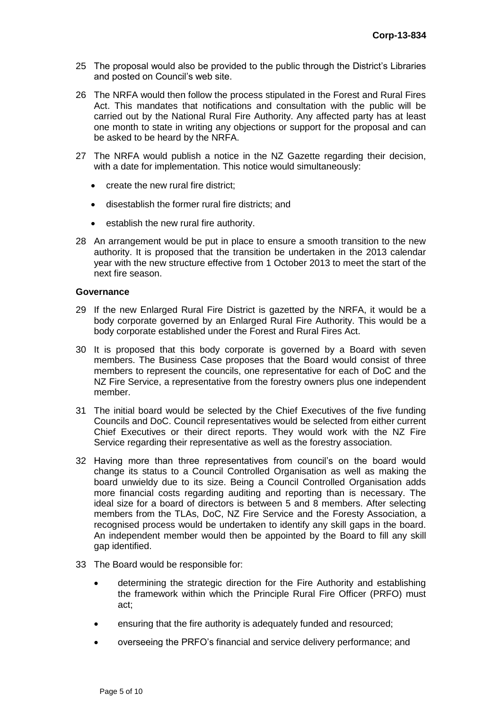- 25 The proposal would also be provided to the public through the District's Libraries and posted on Council's web site.
- 26 The NRFA would then follow the process stipulated in the Forest and Rural Fires Act. This mandates that notifications and consultation with the public will be carried out by the National Rural Fire Authority. Any affected party has at least one month to state in writing any objections or support for the proposal and can be asked to be heard by the NRFA.
- 27 The NRFA would publish a notice in the NZ Gazette regarding their decision, with a date for implementation. This notice would simultaneously:
	- create the new rural fire district;
	- disestablish the former rural fire districts; and
	- establish the new rural fire authority.
- 28 An arrangement would be put in place to ensure a smooth transition to the new authority. It is proposed that the transition be undertaken in the 2013 calendar year with the new structure effective from 1 October 2013 to meet the start of the next fire season.

#### **Governance**

- 29 If the new Enlarged Rural Fire District is gazetted by the NRFA, it would be a body corporate governed by an Enlarged Rural Fire Authority. This would be a body corporate established under the Forest and Rural Fires Act.
- 30 It is proposed that this body corporate is governed by a Board with seven members. The Business Case proposes that the Board would consist of three members to represent the councils, one representative for each of DoC and the NZ Fire Service, a representative from the forestry owners plus one independent member.
- 31 The initial board would be selected by the Chief Executives of the five funding Councils and DoC. Council representatives would be selected from either current Chief Executives or their direct reports. They would work with the NZ Fire Service regarding their representative as well as the forestry association.
- 32 Having more than three representatives from council's on the board would change its status to a Council Controlled Organisation as well as making the board unwieldy due to its size. Being a Council Controlled Organisation adds more financial costs regarding auditing and reporting than is necessary. The ideal size for a board of directors is between 5 and 8 members. After selecting members from the TLAs, DoC, NZ Fire Service and the Foresty Association, a recognised process would be undertaken to identify any skill gaps in the board. An independent member would then be appointed by the Board to fill any skill gap identified.
- 33 The Board would be responsible for:
	- determining the strategic direction for the Fire Authority and establishing the framework within which the Principle Rural Fire Officer (PRFO) must act;
	- ensuring that the fire authority is adequately funded and resourced;
	- overseeing the PRFO's financial and service delivery performance; and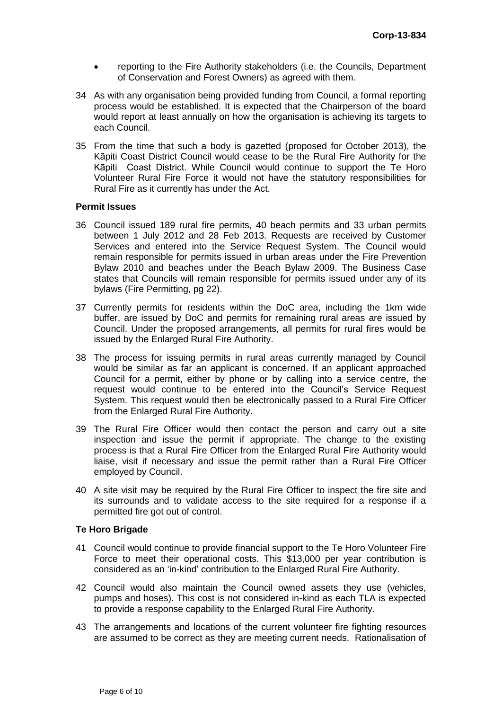- reporting to the Fire Authority stakeholders (i.e. the Councils, Department of Conservation and Forest Owners) as agreed with them.
- 34 As with any organisation being provided funding from Council, a formal reporting process would be established. It is expected that the Chairperson of the board would report at least annually on how the organisation is achieving its targets to each Council.
- 35 From the time that such a body is gazetted (proposed for October 2013), the Kāpiti Coast District Council would cease to be the Rural Fire Authority for the Kāpiti Coast District. While Council would continue to support the Te Horo Volunteer Rural Fire Force it would not have the statutory responsibilities for Rural Fire as it currently has under the Act.

#### **Permit Issues**

- 36 Council issued 189 rural fire permits, 40 beach permits and 33 urban permits between 1 July 2012 and 28 Feb 2013. Requests are received by Customer Services and entered into the Service Request System. The Council would remain responsible for permits issued in urban areas under the Fire Prevention Bylaw 2010 and beaches under the Beach Bylaw 2009. The Business Case states that Councils will remain responsible for permits issued under any of its bylaws (Fire Permitting, pg 22).
- 37 Currently permits for residents within the DoC area, including the 1km wide buffer, are issued by DoC and permits for remaining rural areas are issued by Council. Under the proposed arrangements, all permits for rural fires would be issued by the Enlarged Rural Fire Authority.
- 38 The process for issuing permits in rural areas currently managed by Council would be similar as far an applicant is concerned. If an applicant approached Council for a permit, either by phone or by calling into a service centre, the request would continue to be entered into the Council's Service Request System. This request would then be electronically passed to a Rural Fire Officer from the Enlarged Rural Fire Authority.
- 39 The Rural Fire Officer would then contact the person and carry out a site inspection and issue the permit if appropriate. The change to the existing process is that a Rural Fire Officer from the Enlarged Rural Fire Authority would liaise, visit if necessary and issue the permit rather than a Rural Fire Officer employed by Council.
- 40 A site visit may be required by the Rural Fire Officer to inspect the fire site and its surrounds and to validate access to the site required for a response if a permitted fire got out of control.

### **Te Horo Brigade**

- <span id="page-5-0"></span>41 Council would continue to provide financial support to the Te Horo Volunteer Fire Force to meet their operational costs. This \$13,000 per year contribution is considered as an 'in-kind' contribution to the Enlarged Rural Fire Authority.
- 42 Council would also maintain the Council owned assets they use (vehicles, pumps and hoses). This cost is not considered in-kind as each TLA is expected to provide a response capability to the Enlarged Rural Fire Authority.
- 43 The arrangements and locations of the current volunteer fire fighting resources are assumed to be correct as they are meeting current needs. Rationalisation of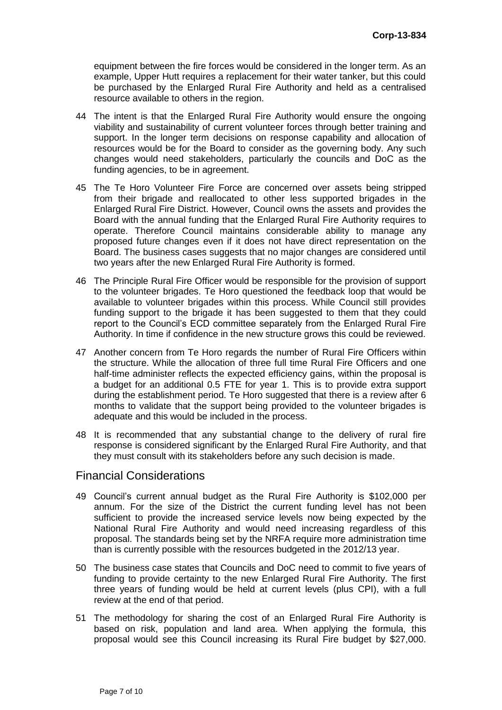equipment between the fire forces would be considered in the longer term. As an example, Upper Hutt requires a replacement for their water tanker, but this could be purchased by the Enlarged Rural Fire Authority and held as a centralised resource available to others in the region.

- 44 The intent is that the Enlarged Rural Fire Authority would ensure the ongoing viability and sustainability of current volunteer forces through better training and support. In the longer term decisions on response capability and allocation of resources would be for the Board to consider as the governing body. Any such changes would need stakeholders, particularly the councils and DoC as the funding agencies, to be in agreement.
- 45 The Te Horo Volunteer Fire Force are concerned over assets being stripped from their brigade and reallocated to other less supported brigades in the Enlarged Rural Fire District. However, Council owns the assets and provides the Board with the annual funding that the Enlarged Rural Fire Authority requires to operate. Therefore Council maintains considerable ability to manage any proposed future changes even if it does not have direct representation on the Board. The business cases suggests that no major changes are considered until two years after the new Enlarged Rural Fire Authority is formed.
- 46 The Principle Rural Fire Officer would be responsible for the provision of support to the volunteer brigades. Te Horo questioned the feedback loop that would be available to volunteer brigades within this process. While Council still provides funding support to the brigade it has been suggested to them that they could report to the Council's ECD committee separately from the Enlarged Rural Fire Authority. In time if confidence in the new structure grows this could be reviewed.
- 47 Another concern from Te Horo regards the number of Rural Fire Officers within the structure. While the allocation of three full time Rural Fire Officers and one half-time administer reflects the expected efficiency gains, within the proposal is a budget for an additional 0.5 FTE for year 1. This is to provide extra support during the establishment period. Te Horo suggested that there is a review after 6 months to validate that the support being provided to the volunteer brigades is adequate and this would be included in the process.
- 48 It is recommended that any substantial change to the delivery of rural fire response is considered significant by the Enlarged Rural Fire Authority, and that they must consult with its stakeholders before any such decision is made.

## Financial Considerations

- 49 Council's current annual budget as the Rural Fire Authority is \$102,000 per annum. For the size of the District the current funding level has not been sufficient to provide the increased service levels now being expected by the National Rural Fire Authority and would need increasing regardless of this proposal. The standards being set by the NRFA require more administration time than is currently possible with the resources budgeted in the 2012/13 year.
- 50 The business case states that Councils and DoC need to commit to five years of funding to provide certainty to the new Enlarged Rural Fire Authority. The first three years of funding would be held at current levels (plus CPI), with a full review at the end of that period.
- 51 The methodology for sharing the cost of an Enlarged Rural Fire Authority is based on risk, population and land area. When applying the formula, this proposal would see this Council increasing its Rural Fire budget by \$27,000.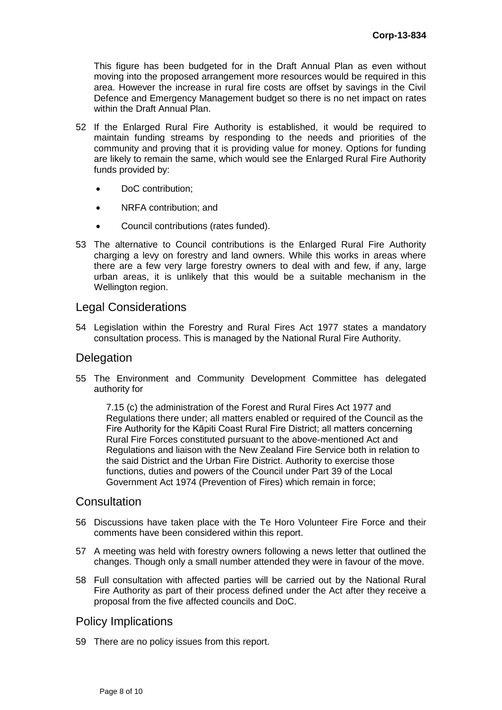This figure has been budgeted for in the Draft Annual Plan as even without moving into the proposed arrangement more resources would be required in this area. However the increase in rural fire costs are offset by savings in the Civil Defence and Emergency Management budget so there is no net impact on rates within the Draft Annual Plan.

- 52 If the Enlarged Rural Fire Authority is established, it would be required to maintain funding streams by responding to the needs and priorities of the community and proving that it is providing value for money. Options for funding are likely to remain the same, which would see the Enlarged Rural Fire Authority funds provided by:
	- DoC contribution;
	- NRFA contribution; and
	- Council contributions (rates funded).
- 53 The alternative to Council contributions is the Enlarged Rural Fire Authority charging a levy on forestry and land owners. While this works in areas where there are a few very large forestry owners to deal with and few, if any, large urban areas, it is unlikely that this would be a suitable mechanism in the Wellington region.

# Legal Considerations

54 Legislation within the Forestry and Rural Fires Act 1977 states a mandatory consultation process. This is managed by the National Rural Fire Authority.

# **Delegation**

55 The Environment and Community Development Committee has delegated authority for

7.15 (c) the administration of the Forest and Rural Fires Act 1977 and Regulations there under; all matters enabled or required of the Council as the Fire Authority for the Kāpiti Coast Rural Fire District; all matters concerning Rural Fire Forces constituted pursuant to the above-mentioned Act and Regulations and liaison with the New Zealand Fire Service both in relation to the said District and the Urban Fire District. Authority to exercise those functions, duties and powers of the Council under Part 39 of the Local Government Act 1974 (Prevention of Fires) which remain in force;

# **Consultation**

- 56 Discussions have taken place with the Te Horo Volunteer Fire Force and their comments have been considered within this report.
- 57 A meeting was held with forestry owners following a news letter that outlined the changes. Though only a small number attended they were in favour of the move.
- 58 Full consultation with affected parties will be carried out by the National Rural Fire Authority as part of their process defined under the Act after they receive a proposal from the five affected councils and DoC.

# Policy Implications

59 There are no policy issues from this report.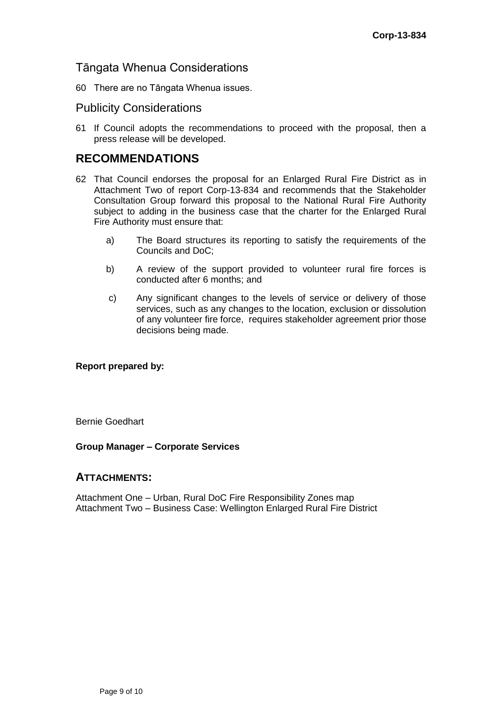# Tāngata Whenua Considerations

60 There are no Tāngata Whenua issues.

# Publicity Considerations

61 If Council adopts the recommendations to proceed with the proposal, then a press release will be developed.

# **RECOMMENDATIONS**

- 62 That Council endorses the proposal for an Enlarged Rural Fire District as in Attachment Two of report Corp-13-834 and recommends that the Stakeholder Consultation Group forward this proposal to the National Rural Fire Authority subject to adding in the business case that the charter for the Enlarged Rural Fire Authority must ensure that:
	- a) The Board structures its reporting to satisfy the requirements of the Councils and DoC;
	- b) A review of the support provided to volunteer rural fire forces is conducted after 6 months; and
	- c) Any significant changes to the levels of service or delivery of those services, such as any changes to the location, exclusion or dissolution of any volunteer fire force, requires stakeholder agreement prior those decisions being made.

### **Report prepared by:**

Bernie Goedhart

### **Group Manager – Corporate Services**

### **ATTACHMENTS:**

Attachment One – Urban, Rural DoC Fire Responsibility Zones map Attachment Two – Business Case: Wellington Enlarged Rural Fire District